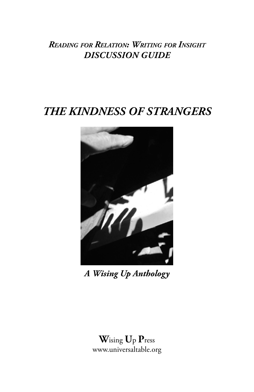## *Reading for Relation: Writing for Insight DISCUSSION GUIDE*

# *THE KINDNESS OF STRANGERS*



*A Wising Up Anthology*

## **W**ising **U**p **P**ress www.universaltable.org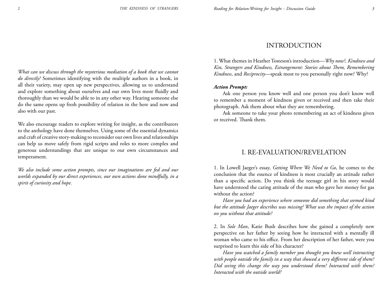*What can we discuss through the mysterious mediation of a book that we cannot do directly?* Sometimes identifying with the multiple authors in a book, in all their variety, may open up new perspectives, allowing us to understand and explore something about ourselves and our own lives more fluidly and thoroughly than we would be able to in any other way. Hearing someone else do the same opens up fresh possibility of relation in the here and now and also with our past.

We also encourage readers to explore writing for insight, as the contributors to the anthology have done themselves. Using some of the essential dynamics and craft of creative story-making to reconsider our own lives and relationships can help us move safely from rigid scripts and roles to more complex and generous understandings that are unique to our own circumstances and temperament*.*

*We also include some action prompts, since our imaginations are fed and our worlds expanded by our direct experiences, our own actions done mindfully, in a spirit of curiosity and hope.*

### INTRODUCTION

1. What themes in Heather Tosteson's introduction—*Why now?, Kindness and Kin, Strangers and Kindness, Estrangement: Stories about Them, Remembering Kindness*, and *Reciprocity*—speak most to you personally right now? Why?

#### *Action Prompt:*

Ask one person you know well and one person you don't know well to remember a moment of kindness given or received and then take their photograph. Ask them about what they are remembering.

Ask someone to take your photo remembering an act of kindness given or received. Thank them.

## I. RE-EVALUATION/REVELATION

1. In Lowell Jaeger's essay, *Getting Where We Need to Go*, he comes to the conclusion that the essence of kindness is most crucially an attitude rather than a specific action. Do you think the teenage girl in his story would have understood the caring attitude of the man who gave her money for gas without the action?

*Have you had an experience where someone did something that seemed kind but the attitude Jaeger describes was missing? What was the impact of the action on you without that attitude?*

2. In *Sole Man*, Katie Bush describes how she gained a completely new perspective on her father by seeing how he interacted with a mentally ill woman who came to his office. From her description of her father, were you surprised to learn this side of his character?

*Have you watched a family member you thought you knew well interacting with people outside the family in a way that showed a very different side of them? Did seeing this change the way you understood them? Interacted with them? Interacted with the outside world?*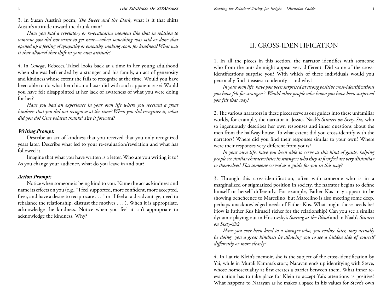3. In Susan Austin's poem, *The Sweet and the Dark*, what is it that shifts Austin's attitude toward the drunk man?

*Have you had a revelatory or re-evaluative moment like that in relation to someone you did not want to get near—when something was said or done that opened up a feeling of sympathy or empathy, making room for kindness? What was it that allowed that shift in your own attitude?*

4. In *Omega*, Rebecca Taksel looks back at a time in her young adulthood when she was befriended by a stranger and his family, an act of generosity and kindness whose extent she fails to recognize at the time. Would you have been able to do what her chicano hosts did with such apparent ease? Would you have felt disappointed at her lack of awareness of what you were doing for her?

*Have you had an experience in your own life where you received a great kindness that you did not recognize at the time? When you did recognize it, what did you do? Give belated thanks? Pay it forward?*

#### *Writing Prompt:*

Describe an act of kindness that you received that you only recognized years later. Describe what led to your re-evaluation/revelation and what has followed it.

Imagine that what you have written is a letter. Who are you writing it to? As you change your audience, what do you leave in and out?

#### *Action Prompt:*

Notice when someone is being kind to you. Name the act as kindness and name its effects on you (e.g., "I feel supported, more confident, more accepted, freer, and have a desire to reciprocate . . . " or "I feel at a disadvantage, need to rebalance the relationship, distrust the motives . . . ). When it is appropriate, acknowledge the kindness. Notice when you feel it isn't appropriate to acknowledge the kindness. Why?

## II. CROSS-IDENTIFICATION

1. In all the pieces in this section, the narrator identifies with someone who from the outside might appear very different. Did some of the crossidentifications surprise you? With which of these individuals would you personally find it easiest to identify—and why?

*In your own life, have you been surprised at strong positive cross-identifications you have felt for strangers? Would other people who know you have been surprised you felt that way?* 

2. The various narrators in these pieces serve as our guides into these unfamiliar worlds, for example, the narrator in Jessica Naab's *Sinners on Sixty-Six*, who so ingenuously describes her own responses and inner questions about the men from the halfway house. To what extent did you cross-identify with the narrators? Where did you find their responses similar to your own? Where were their responses very different from yours?

*In your own life, have you been able to serve as this kind of guide, helping people see similar characteristics in strangers who they at first feel are very dissimilar to themselves? Has someone served as a guide for you in this way?*

3. Through this cross-identification, often with someone who is in a marginalized or stigmatized position in society, the narrator begins to define himself or herself differently. For example, Father Kus may appear to be showing beneficence to Marcelino, but Marcelino is also meeting some deep, perhaps unacknowledged needs of Father Kus. What might those needs be? How is Father Kus himself richer for the relationship? Can you see a similar dynamic playing out in Hostovsky's *Staring at the Blind* and in Naab's *Sinners on Sixty-Six*?

*Have you ever been kind to a stranger who, you realize later, may actually be doing you a great kindness by allowing you to see a hidden side of yourself differently or more clearly?*

4. In Laurie Klein's memoir, she is the subject of the cross-identification by Yai, while in Murali Kamma's story, Narayan ends up identifying with Steve, whose homosexuality at first creates a barrier between them. What inner reevaluation has to take place for Klein to accept Yai's attentions as positive? What happens to Narayan as he makes a space in his values for Steve's own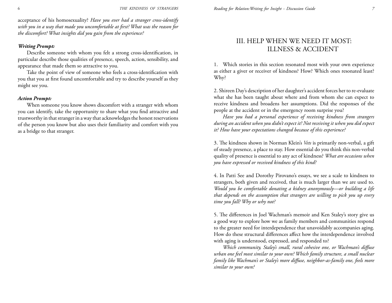6 *THE KINDNESS OF STRANGERS Reading for Relation:Writing for Insight - Discussion Guide 7*

acceptance of his homosexuality? *Have you ever had a stranger cross-identify with you in a way that made you uncomfortable at first? What was the reason for the discomfort? What insights did you gain from the experience?* 

#### *Writing Prompt:*

Describe someone with whom you felt a strong cross-identification, in particular describe those qualities of presence, speech, action, sensibility, and appearance that made them so attractive to you.

Take the point of view of someone who feels a cross-identification with you that you at first found uncomfortable and try to describe yourself as they might see you.

#### *Action Prompt:*

When someone you know shows discomfort with a stranger with whom you can identify, take the opportunity to share what you find attractive and trustworthy in that stranger in a way that acknowledges the honest reservations of the person you know but also uses their familiarity and comfort with you as a bridge to that stranger.

## III. HELP WHEN WE NEED IT MOST: ILLNESS & ACCIDENT

1. Which stories in this section resonated most with your own experience as either a giver or receiver of kindness? How? Which ones resonated least? Why?

2. Shireen Day's description of her daughter's accident forces her to re-evaluate what she has been taught about where and from whom she can expect to receive kindness and broadens her assumptions. Did the responses of the people at the accident or in the emergency room surprise you?

*Have you had a personal experience of receiving kindness from strangers during an accident when you didn't expect it? Not receiving it when you did expect it? How have your expectations changed because of this experience?*

3. The kindness shown in Norman Klein's *Vets* is primarily non-verbal, a gift of steady presence, a place to stay. How essential do you think this non-verbal quality of presence is essential to any act of kindness? *What are occasions when you have expressed or received kindness of this kind?* 

4. In Patti See and Dorothy Pirovano's essays, we see a scale to kindness to strangers, both given and received, that is much larger than we are used to. *Would you be comfortable donating a kidney anonymously—or building a life that depends on the assumption that strangers are willing to pick you up every time you fall? Why or why not?*

5. The differences in Joel Wachman's memoir and Ken Staley's story give us a good way to explore how we as family members and communities respond to the greater need for interdependence that unavoidably accompanies aging. How do these structural differences affect how the interdependence involved with aging is understood, expressed, and responded to?

*Which community, Staley's small, rural cohesive one, or Wachman's diffuse urban one feel most similar to your own? Which family structure, a small nuclear family like Wachman's or Staley's more diffuse, neighbor-as-family one, feels more similar to your own?*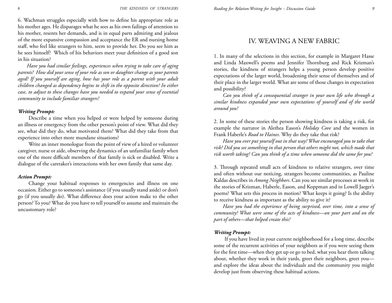6. Wachman struggles especially with how to define his appropriate role as his mother ages. He disparages what he sees as his own failings of attention to his mother, resents her demands, and is in equal parts admiring and jealous of the more expansive compassion and acceptance the ER and nursing home staff, who feel like strangers to him, seem to provide her. Do you see him as he sees himself? Which of his behaviors meet your definition of a good son in his situation?

*Have you had similar feelings, experiences when trying to take care of aging parents? How did your sense of your role as son or daughter change as your parents aged? If you yourself are aging, how has your role as a parent with your adult children changed as dependency begins to shift in the opposite direction? In either case, to adjust to these changes have you needed to expand your sense of essential community to include familiar strangers?*

#### *Writing Prompt:*

Describe a time when you helped or were helped by someone during an illness or emergency from the other person's point of view. What did they see, what did they do, what motivated them? What did they take from that experience into other more mundane situations?

Write an inner monologue from the point of view of a hired or volunteer caregiver, nurse or aide, observing the dynamics of an unfamiliar family when one of the more difficult members of that family is sick or disabled. Write a dialogue of the caretaker's interactions with her own family that same day.

#### *Action Prompt:*

Change your habitual responses to emergencies and illness on one occasion. Either go to someone's assistance (if you usually stand aside) or don't go (if you usually do). What difference does your action make to the other person? To you? What do you have to tell yourself to assume and maintain the uncustomary role?

## IV. WEAVING A NEW FABRIC

1. In many of the selections in this section, for example in Margaret Hasse and Linda Maxwell's poems and Jennifer Thornburg and Rick Krizman's stories, the kindness of strangers helps a young person develop positive expectations of the larger world, broadening their sense of themselves and of their place in the larger world. What are some of those changes in expectation and possibility?

*Can you think of a consequential stranger in your own life who through a similar kindness expanded your own expectations of yourself and of the world around you?*

2. In some of these stories the person showing kindness is taking a risk, for example the narrator in Alethea Eason's *Holiday Cove* and the women in Frank Haberle's *Road to Haines*. Why do they take that risk?

*Have you ever put yourself out in that way? What encouraged you to take that risk? Did you see something in that person that others might not, which made that risk worth taking? Can you think of a time when someone did the same for you?*

3. Through repeated small acts of kindness to relative strangers, over time and often without our noticing, strangers become communities, as Pauline Kaldas describes in *Among Neighbors*. Can you see similar processes at work in the stories of Krizman, Haberle, Eason, and Koppman and in Lowell Jaeger's poems? What sets this process in motion? What keeps it going? Is the ability to receive kindness as important as the ability to give it?

*Have you had the experience of being surprised, over time, into a sense of community? What were some of the acts of kindness—on your part and on the part of others—that helped create this?* 

#### *Writing Prompt:*

If you have lived in your current neighborhood for a long time, describe some of the recurrent activities of your neighbors as if you were seeing them for the first time—when they get up or go to bed, what you hear them talking about, whether they work in their yards, greet their neighbors, greet you and explore the ideas about the individuals and the community you might develop just from observing these habitual actions.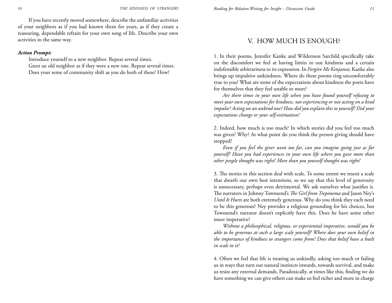If you have recently moved somewhere, describe the unfamiliar activities of your neighbors as if you had known them for years, as if they create a reassuring, dependable refrain for your own song of life. Describe your own activities in the same way.

#### *Action Prompt:*

Introduce yourself to a new neighbor. Repeat several times. Greet an old neighbor as if they were a new one. Repeat several times. Does your sense of community shift as you do both of these? How?

## V. HOW MUCH IS ENOUGH?

1. In their poems, Jennifer Kanke and Wilderness Sarchild specifically take on the discomfort we feel at having limits to our kindness and a certain indefensible arbitrariness to its expression. In *Forgive Me Kenjanea*, Kanke also brings up impulsive unkindness. Where do these poems ring uncomfortably true to you? What are some of the expectations about kindness the poets have for themselves that they feel unable to meet?

*Are there times in your own life when you have found yourself refusing to meet your own expectations for kindness, not experiencing or not acting on a kind impulse? Acting on an unkind one? How did you explain this to yourself? Did your expectations change or your self-estimation?*

2. Indeed, how much is too much? In which stories did you feel too much was given? Why? At what point do you think the person giving should have stopped?

*Even if you feel the giver went too far, can you imagine going just as far yourself? Have you had experiences in your own life where you gave more than other people thought was right? More than you yourself thought was right?*

3. The stories in this section deal with scale. To some extent we resent a scale that dwarfs our own best intentions, so we say that this level of generosity is unnecessary, perhaps even detrimental. We ask ourselves what justifies it. The narrators in Johnny Townsend's *The Girl from Treponema* and Jason Ney's *Until It Hurts* are both extremely generous. Why do you think they each need to be this generous? Ney provides a religious grounding for his choices, but Townsend's narrator doesn't explicitly have this. Does he have some other inner imperative?

*Without a philosophical, religious, or experiential imperative, would you be able to be generous at such a large scale yourself? Where does your own belief in the importance of kindness to strangers come from? Does that belief have a built in scale to it?*

4. Often we feel that life is treating us unkindly, asking too much or failing us in ways that turn our natural instincts inwards, towards survival, and make us resist any external demands. Paradoxically, at times like this, finding we do have something we can give others can make us feel richer and more in charge